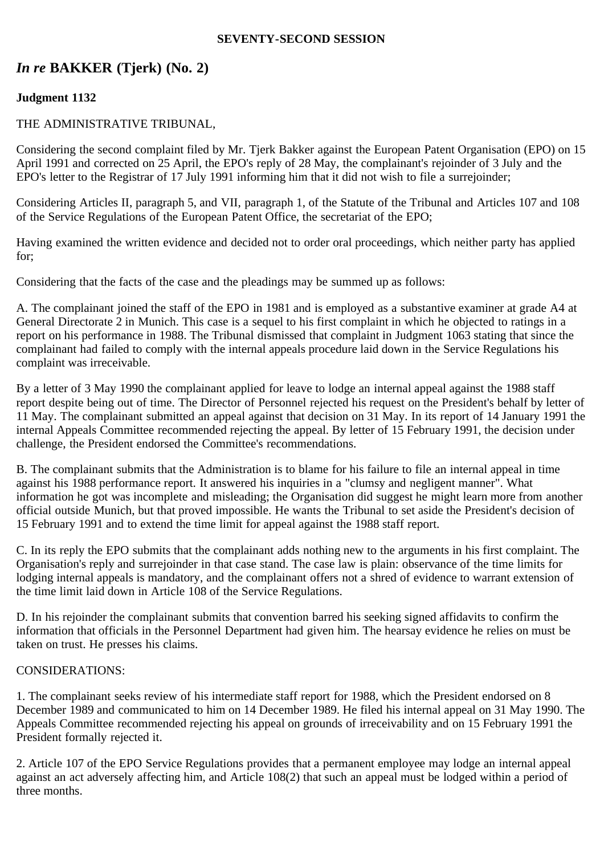#### **SEVENTY-SECOND SESSION**

# *In re* **BAKKER (Tjerk) (No. 2)**

# **Judgment 1132**

## THE ADMINISTRATIVE TRIBUNAL,

Considering the second complaint filed by Mr. Tjerk Bakker against the European Patent Organisation (EPO) on 15 April 1991 and corrected on 25 April, the EPO's reply of 28 May, the complainant's rejoinder of 3 July and the EPO's letter to the Registrar of 17 July 1991 informing him that it did not wish to file a surrejoinder;

Considering Articles II, paragraph 5, and VII, paragraph 1, of the Statute of the Tribunal and Articles 107 and 108 of the Service Regulations of the European Patent Office, the secretariat of the EPO;

Having examined the written evidence and decided not to order oral proceedings, which neither party has applied for;

Considering that the facts of the case and the pleadings may be summed up as follows:

A. The complainant joined the staff of the EPO in 1981 and is employed as a substantive examiner at grade A4 at General Directorate 2 in Munich. This case is a sequel to his first complaint in which he objected to ratings in a report on his performance in 1988. The Tribunal dismissed that complaint in Judgment 1063 stating that since the complainant had failed to comply with the internal appeals procedure laid down in the Service Regulations his complaint was irreceivable.

By a letter of 3 May 1990 the complainant applied for leave to lodge an internal appeal against the 1988 staff report despite being out of time. The Director of Personnel rejected his request on the President's behalf by letter of 11 May. The complainant submitted an appeal against that decision on 31 May. In its report of 14 January 1991 the internal Appeals Committee recommended rejecting the appeal. By letter of 15 February 1991, the decision under challenge, the President endorsed the Committee's recommendations.

B. The complainant submits that the Administration is to blame for his failure to file an internal appeal in time against his 1988 performance report. It answered his inquiries in a "clumsy and negligent manner". What information he got was incomplete and misleading; the Organisation did suggest he might learn more from another official outside Munich, but that proved impossible. He wants the Tribunal to set aside the President's decision of 15 February 1991 and to extend the time limit for appeal against the 1988 staff report.

C. In its reply the EPO submits that the complainant adds nothing new to the arguments in his first complaint. The Organisation's reply and surrejoinder in that case stand. The case law is plain: observance of the time limits for lodging internal appeals is mandatory, and the complainant offers not a shred of evidence to warrant extension of the time limit laid down in Article 108 of the Service Regulations.

D. In his rejoinder the complainant submits that convention barred his seeking signed affidavits to confirm the information that officials in the Personnel Department had given him. The hearsay evidence he relies on must be taken on trust. He presses his claims.

## CONSIDERATIONS:

1. The complainant seeks review of his intermediate staff report for 1988, which the President endorsed on 8 December 1989 and communicated to him on 14 December 1989. He filed his internal appeal on 31 May 1990. The Appeals Committee recommended rejecting his appeal on grounds of irreceivability and on 15 February 1991 the President formally rejected it.

2. Article 107 of the EPO Service Regulations provides that a permanent employee may lodge an internal appeal against an act adversely affecting him, and Article 108(2) that such an appeal must be lodged within a period of three months.